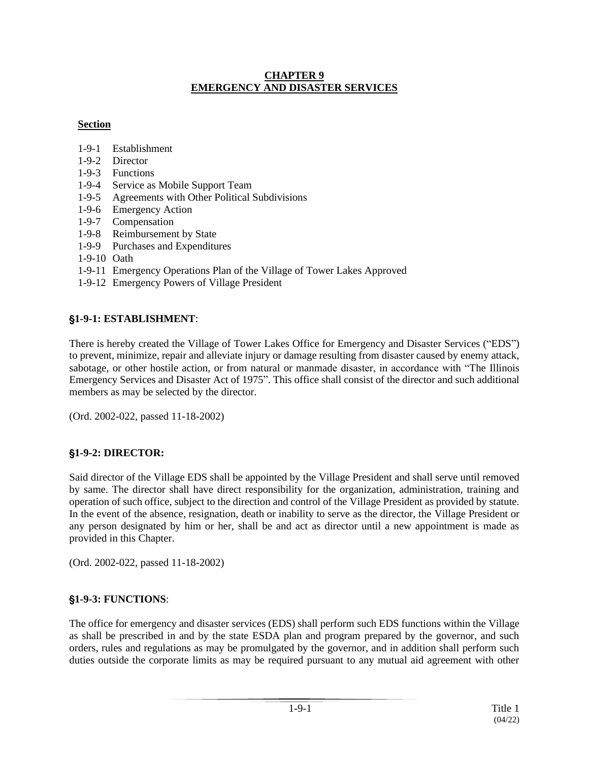#### **CHAPTER 9 EMERGENCY AND DISASTER SERVICES**

### **Section**

- 1-9-1 Establishment
- 1-9-2 Director
- 1-9-3 Functions
- 1-9-4 Service as Mobile Support Team
- 1-9-5 Agreements with Other Political Subdivisions
- 1-9-6 Emergency Action
- 1-9-7 Compensation
- 1-9-8 Reimbursement by State
- 1-9-9 Purchases and Expenditures
- 1-9-10 Oath
- 1-9-11 Emergency Operations Plan of the Village of Tower Lakes Approved
- 1-9-12 Emergency Powers of Village President

### '**1-9-1: ESTABLISHMENT**:

There is hereby created the Village of Tower Lakes Office for Emergency and Disaster Services ("EDS") to prevent, minimize, repair and alleviate injury or damage resulting from disaster caused by enemy attack, sabotage, or other hostile action, or from natural or manmade disaster, in accordance with "The Illinois Emergency Services and Disaster Act of 1975". This office shall consist of the director and such additional members as may be selected by the director.

(Ord. 2002-022, passed 11-18-2002)

### '**1-9-2: DIRECTOR:**

Said director of the Village EDS shall be appointed by the Village President and shall serve until removed by same. The director shall have direct responsibility for the organization, administration, training and operation of such office, subject to the direction and control of the Village President as provided by statute. In the event of the absence, resignation, death or inability to serve as the director, the Village President or any person designated by him or her, shall be and act as director until a new appointment is made as provided in this Chapter.

(Ord. 2002-022, passed 11-18-2002)

### '**1-9-3: FUNCTIONS**:

The office for emergency and disaster services (EDS) shall perform such EDS functions within the Village as shall be prescribed in and by the state ESDA plan and program prepared by the governor, and such orders, rules and regulations as may be promulgated by the governor, and in addition shall perform such duties outside the corporate limits as may be required pursuant to any mutual aid agreement with other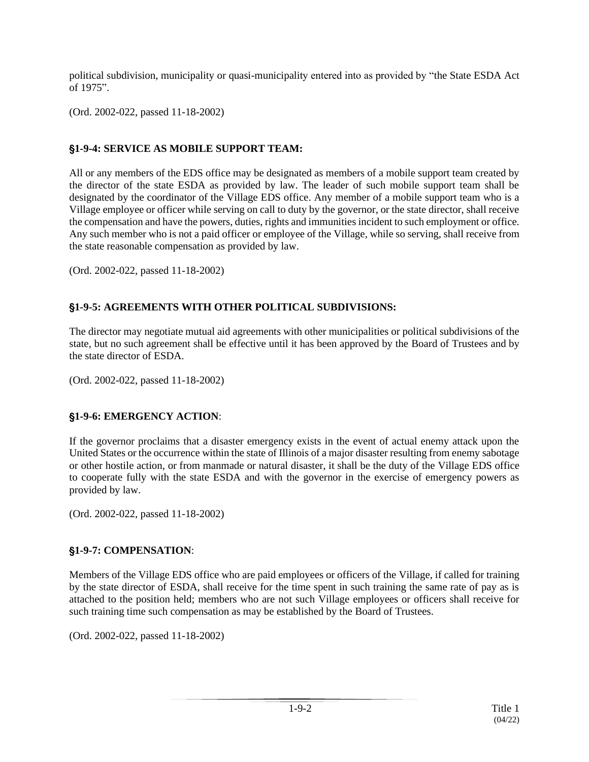political subdivision, municipality or quasi-municipality entered into as provided by "the State ESDA Act of 1975".

(Ord. 2002-022, passed 11-18-2002)

## '**1-9-4: SERVICE AS MOBILE SUPPORT TEAM:**

All or any members of the EDS office may be designated as members of a mobile support team created by the director of the state ESDA as provided by law. The leader of such mobile support team shall be designated by the coordinator of the Village EDS office. Any member of a mobile support team who is a Village employee or officer while serving on call to duty by the governor, or the state director, shall receive the compensation and have the powers, duties, rights and immunities incident to such employment or office. Any such member who is not a paid officer or employee of the Village, while so serving, shall receive from the state reasonable compensation as provided by law.

(Ord. 2002-022, passed 11-18-2002)

# '**1-9-5: AGREEMENTS WITH OTHER POLITICAL SUBDIVISIONS:**

The director may negotiate mutual aid agreements with other municipalities or political subdivisions of the state, but no such agreement shall be effective until it has been approved by the Board of Trustees and by the state director of ESDA.

(Ord. 2002-022, passed 11-18-2002)

### '**1-9-6: EMERGENCY ACTION**:

If the governor proclaims that a disaster emergency exists in the event of actual enemy attack upon the United States or the occurrence within the state of Illinois of a major disaster resulting from enemy sabotage or other hostile action, or from manmade or natural disaster, it shall be the duty of the Village EDS office to cooperate fully with the state ESDA and with the governor in the exercise of emergency powers as provided by law.

(Ord. 2002-022, passed 11-18-2002)

### '**1-9-7: COMPENSATION**:

Members of the Village EDS office who are paid employees or officers of the Village, if called for training by the state director of ESDA, shall receive for the time spent in such training the same rate of pay as is attached to the position held; members who are not such Village employees or officers shall receive for such training time such compensation as may be established by the Board of Trustees.

(Ord. 2002-022, passed 11-18-2002)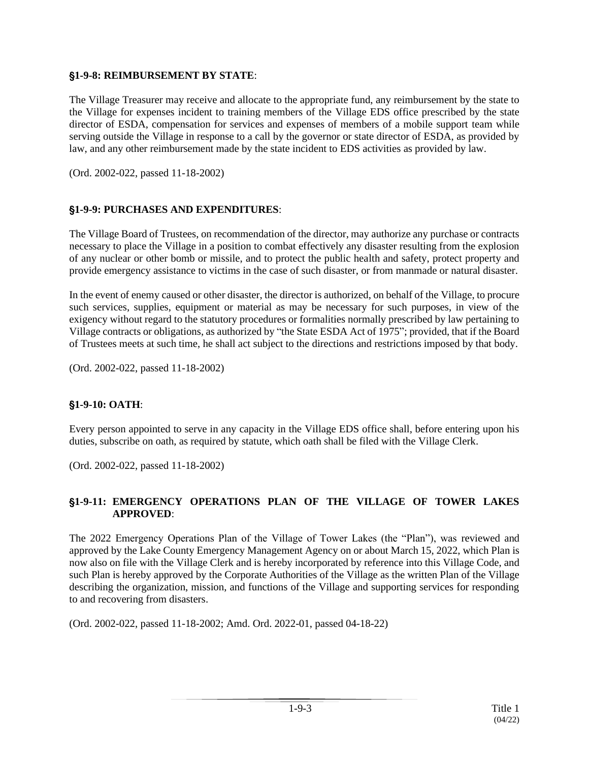#### '**1-9-8: REIMBURSEMENT BY STATE**:

The Village Treasurer may receive and allocate to the appropriate fund, any reimbursement by the state to the Village for expenses incident to training members of the Village EDS office prescribed by the state director of ESDA, compensation for services and expenses of members of a mobile support team while serving outside the Village in response to a call by the governor or state director of ESDA, as provided by law, and any other reimbursement made by the state incident to EDS activities as provided by law.

(Ord. 2002-022, passed 11-18-2002)

### '**1-9-9: PURCHASES AND EXPENDITURES**:

The Village Board of Trustees, on recommendation of the director, may authorize any purchase or contracts necessary to place the Village in a position to combat effectively any disaster resulting from the explosion of any nuclear or other bomb or missile, and to protect the public health and safety, protect property and provide emergency assistance to victims in the case of such disaster, or from manmade or natural disaster.

In the event of enemy caused or other disaster, the director is authorized, on behalf of the Village, to procure such services, supplies, equipment or material as may be necessary for such purposes, in view of the exigency without regard to the statutory procedures or formalities normally prescribed by law pertaining to Village contracts or obligations, as authorized by "the State ESDA Act of 1975"; provided, that if the Board of Trustees meets at such time, he shall act subject to the directions and restrictions imposed by that body.

(Ord. 2002-022, passed 11-18-2002)

### '**1-9-10: OATH**:

Every person appointed to serve in any capacity in the Village EDS office shall, before entering upon his duties, subscribe on oath, as required by statute, which oath shall be filed with the Village Clerk.

(Ord. 2002-022, passed 11-18-2002)

#### '**1-9-11: EMERGENCY OPERATIONS PLAN OF THE VILLAGE OF TOWER LAKES APPROVED**:

The 2022 Emergency Operations Plan of the Village of Tower Lakes (the "Plan"), was reviewed and approved by the Lake County Emergency Management Agency on or about March 15, 2022, which Plan is now also on file with the Village Clerk and is hereby incorporated by reference into this Village Code, and such Plan is hereby approved by the Corporate Authorities of the Village as the written Plan of the Village describing the organization, mission, and functions of the Village and supporting services for responding to and recovering from disasters.

(Ord. 2002-022, passed 11-18-2002; Amd. Ord. 2022-01, passed 04-18-22)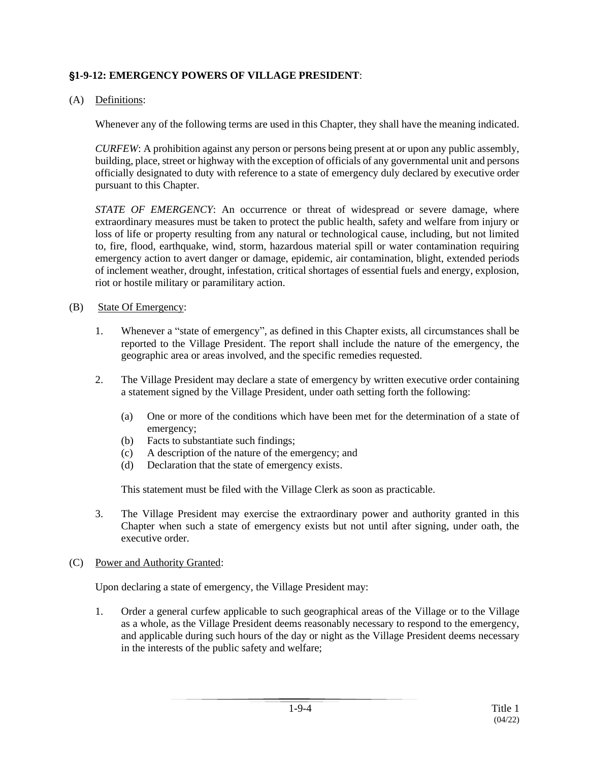### '**1-9-12: EMERGENCY POWERS OF VILLAGE PRESIDENT**:

### (A) Definitions:

Whenever any of the following terms are used in this Chapter, they shall have the meaning indicated.

*CURFEW*: A prohibition against any person or persons being present at or upon any public assembly, building, place, street or highway with the exception of officials of any governmental unit and persons officially designated to duty with reference to a state of emergency duly declared by executive order pursuant to this Chapter.

*STATE OF EMERGENCY*: An occurrence or threat of widespread or severe damage, where extraordinary measures must be taken to protect the public health, safety and welfare from injury or loss of life or property resulting from any natural or technological cause, including, but not limited to, fire, flood, earthquake, wind, storm, hazardous material spill or water contamination requiring emergency action to avert danger or damage, epidemic, air contamination, blight, extended periods of inclement weather, drought, infestation, critical shortages of essential fuels and energy, explosion, riot or hostile military or paramilitary action.

#### (B) State Of Emergency:

- 1. Whenever a "state of emergency", as defined in this Chapter exists, all circumstances shall be reported to the Village President. The report shall include the nature of the emergency, the geographic area or areas involved, and the specific remedies requested.
- 2. The Village President may declare a state of emergency by written executive order containing a statement signed by the Village President, under oath setting forth the following:
	- (a) One or more of the conditions which have been met for the determination of a state of emergency;
	- (b) Facts to substantiate such findings;
	- (c) A description of the nature of the emergency; and
	- (d) Declaration that the state of emergency exists.

This statement must be filed with the Village Clerk as soon as practicable.

3. The Village President may exercise the extraordinary power and authority granted in this Chapter when such a state of emergency exists but not until after signing, under oath, the executive order.

#### (C) Power and Authority Granted:

Upon declaring a state of emergency, the Village President may:

1. Order a general curfew applicable to such geographical areas of the Village or to the Village as a whole, as the Village President deems reasonably necessary to respond to the emergency, and applicable during such hours of the day or night as the Village President deems necessary in the interests of the public safety and welfare;